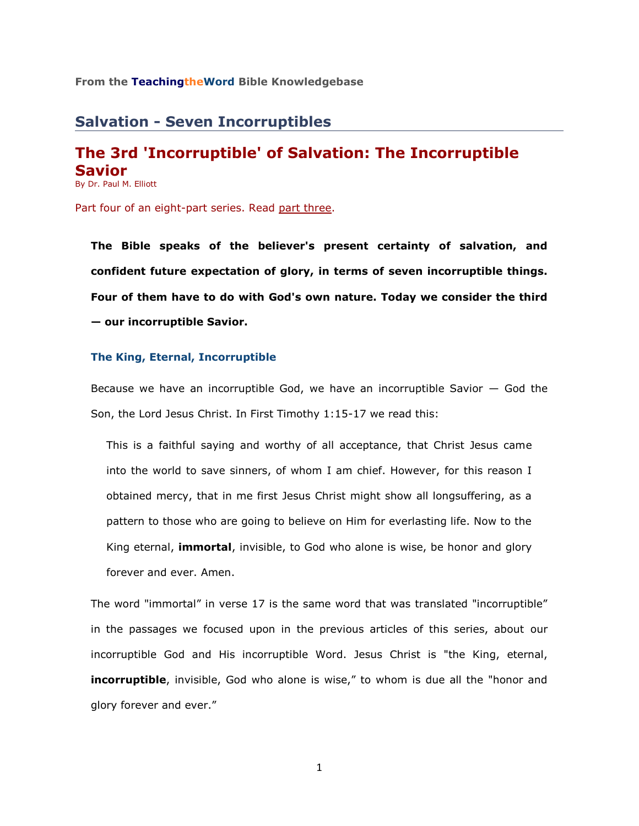## **From the TeachingtheWord Bible Knowledgebase**\_\_\_\_\_\_\_\_\_\_\_\_\_\_\_\_\_\_\_\_\_\_\_\_

## **Salvation - Seven Incorruptibles**

# **The 3rd 'Incorruptible' of Salvation: The Incorruptible Savior**

By Dr. Paul M. Elliott

Part four of an eight-part series. Read [part three.](http://www.teachingtheword.org/apps/articles/web/articleid/61119/columnid/5861/default.asp)

**The Bible speaks of the believer's present certainty of salvation, and confident future expectation of glory, in terms of seven incorruptible things. Four of them have to do with God's own nature. Today we consider the third — our incorruptible Savior.** 

### **The King, Eternal, Incorruptible**

Because we have an incorruptible God, we have an incorruptible Savior  $-$  God the Son, the Lord Jesus Christ. In First Timothy 1:15-17 we read this:

This is a faithful saying and worthy of all acceptance, that Christ Jesus came into the world to save sinners, of whom I am chief. However, for this reason I obtained mercy, that in me first Jesus Christ might show all longsuffering, as a pattern to those who are going to believe on Him for everlasting life. Now to the King eternal, **immortal**, invisible, to God who alone is wise, be honor and glory forever and ever. Amen.

The word "immortal" in verse 17 is the same word that was translated "incorruptible" in the passages we focused upon in the previous articles of this series, about our incorruptible God and His incorruptible Word. Jesus Christ is "the King, eternal, **incorruptible**, invisible, God who alone is wise," to whom is due all the "honor and glory forever and ever."

1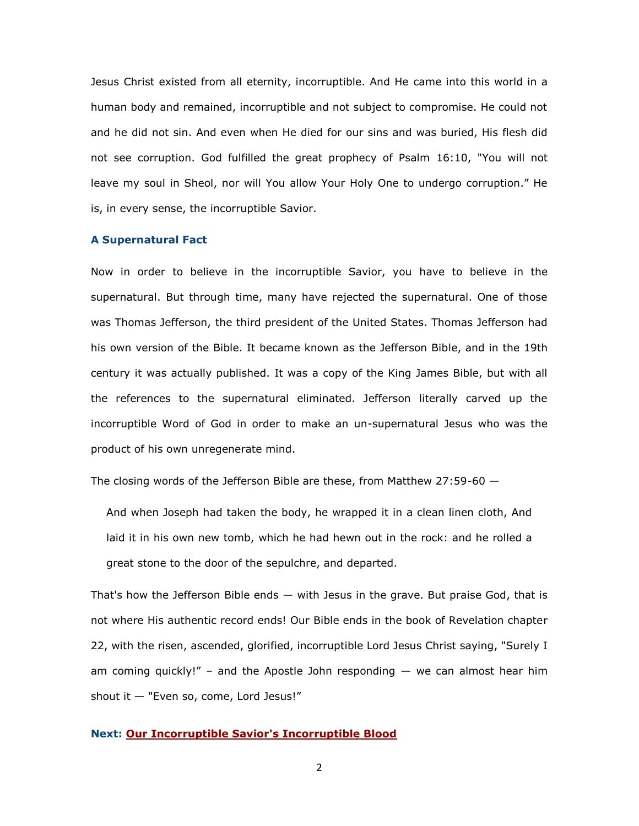Jesus Christ existed from all eternity, incorruptible. And He came into this world in a human body and remained, incorruptible and not subject to compromise. He could not and he did not sin. And even when He died for our sins and was buried, His flesh did not see corruption. God fulfilled the great prophecy of Psalm 16:10, "You will not leave my soul in Sheol, nor will You allow Your Holy One to undergo corruption." He is, in every sense, the incorruptible Savior.

## **A Supernatural Fact**

Now in order to believe in the incorruptible Savior, you have to believe in the supernatural. But through time, many have rejected the supernatural. One of those was Thomas Jefferson, the third president of the United States. Thomas Jefferson had his own version of the Bible. It became known as the Jefferson Bible, and in the 19th century it was actually published. It was a copy of the King James Bible, but with all the references to the supernatural eliminated. Jefferson literally carved up the incorruptible Word of God in order to make an un-supernatural Jesus who was the product of his own unregenerate mind.

The closing words of the Jefferson Bible are these, from Matthew 27:59-60 —

And when Joseph had taken the body, he wrapped it in a clean linen cloth, And laid it in his own new tomb, which he had hewn out in the rock: and he rolled a great stone to the door of the sepulchre, and departed.

That's how the Jefferson Bible ends  $-$  with Jesus in the grave. But praise God, that is not where His authentic record ends! Our Bible ends in the book of Revelation chapter 22, with the risen, ascended, glorified, incorruptible Lord Jesus Christ saying, "Surely I am coming quickly!" – and the Apostle John responding  $-$  we can almost hear him shout it — "Even so, come, Lord Jesus!"

## **Next: [Our Incorruptible Savior's Incorruptible Blood](http://www.teachingtheword.org/apps/articles/web/articleid/61121/columnid/5861/default.asp)**

2